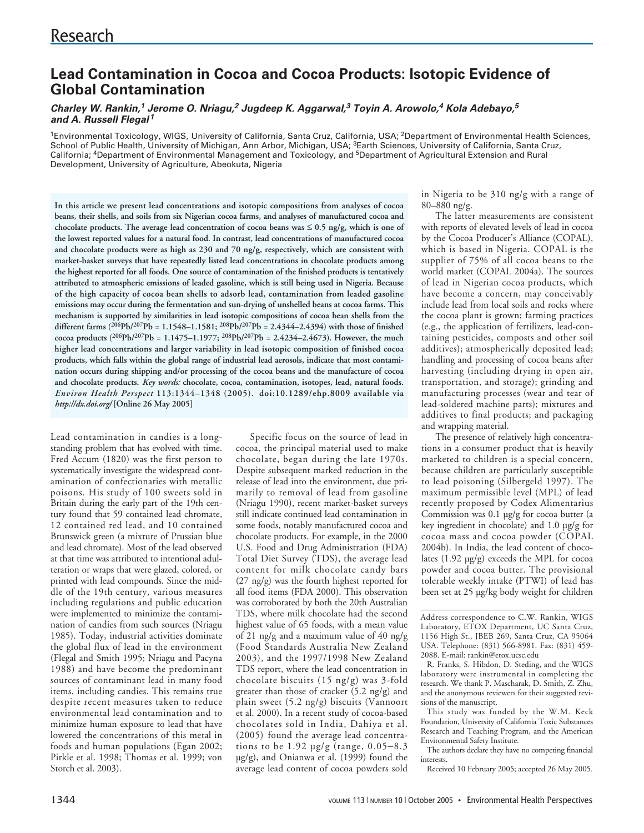# **Lead Contamination in Cocoa and Cocoa Products: Isotopic Evidence of Global Contamination**

# **Charley W. Rankin,<sup>1</sup> Jerome O. Nriagu,<sup>2</sup> Jugdeep K. Aggarwal,<sup>3</sup> Toyin A. Arowolo,<sup>4</sup> Kola Adebayo,<sup>5</sup> and A. Russell Flegal<sup>1</sup>**

<sup>1</sup>Environmental Toxicology, WIGS, University of California, Santa Cruz, California, USA; <sup>2</sup>Department of Environmental Health Sciences, School of Public Health, University of Michigan, Ann Arbor, Michigan, USA; 3Earth Sciences, University of California, Santa Cruz, California; 4Department of Environmental Management and Toxicology, and 5Department of Agricultural Extension and Rural Development, University of Agriculture, Abeokuta, Nigeria

**In this article we present lead concentrations and isotopic compositions from analyses of cocoa beans, their shells, and soils from six Nigerian cocoa farms, and analyses of manufactured cocoa and chocolate products. The average lead concentration of cocoa beans was** ≤ **0.5 ng/g, which is one of the lowest reported values for a natural food. In contrast, lead concentrations of manufactured cocoa and chocolate products were as high as 230 and 70 ng/g, respectively, which are consistent with market-basket surveys that have repeatedly listed lead concentrations in chocolate products among the highest reported for all foods. One source of contamination of the finished products is tentatively attributed to atmospheric emissions of leaded gasoline, which is still being used in Nigeria. Because of the high capacity of cocoa bean shells to adsorb lead, contamination from leaded gasoline emissions may occur during the fermentation and sun-drying of unshelled beans at cocoa farms. This mechanism is supported by similarities in lead isotopic compositions of cocoa bean shells from the different farms (206Pb/207Pb = 1.1548–1.1581; 208Pb/207Pb = 2.4344–2.4394) with those of finished cocoa products (206Pb/207Pb = 1.1475–1.1977; 208Pb/207Pb = 2.4234–2.4673). However, the much higher lead concentrations and larger variability in lead isotopic composition of finished cocoa products, which falls within the global range of industrial lead aerosols, indicate that most contamination occurs during shipping and/or processing of the cocoa beans and the manufacture of cocoa and chocolate products.** *Key words:* **chocolate, cocoa, contamination, isotopes, lead, natural foods.** *Environ Health Perspect* **113:1344–1348 (2005). doi:10.1289/ehp.8009 available via** *http://dx.doi.org/* **[Online 26 May 2005]**

Lead contamination in candies is a longstanding problem that has evolved with time. Fred Accum (1820) was the first person to systematically investigate the widespread contamination of confectionaries with metallic poisons. His study of 100 sweets sold in Britain during the early part of the 19th century found that 59 contained lead chromate, 12 contained red lead, and 10 contained Brunswick green (a mixture of Prussian blue and lead chromate). Most of the lead observed at that time was attributed to intentional adulteration or wraps that were glazed, colored, or printed with lead compounds. Since the middle of the 19th century, various measures including regulations and public education were implemented to minimize the contamination of candies from such sources (Nriagu 1985). Today, industrial activities dominate the global flux of lead in the environment (Flegal and Smith 1995; Nriagu and Pacyna 1988) and have become the predominant sources of contaminant lead in many food items, including candies. This remains true despite recent measures taken to reduce environmental lead contamination and to minimize human exposure to lead that have lowered the concentrations of this metal in foods and human populations (Egan 2002; Pirkle et al. 1998; Thomas et al. 1999; von Storch et al. 2003).

Specific focus on the source of lead in cocoa, the principal material used to make chocolate, began during the late 1970s. Despite subsequent marked reduction in the release of lead into the environment, due primarily to removal of lead from gasoline (Nriagu 1990), recent market-basket surveys still indicate continued lead contamination in some foods, notably manufactured cocoa and chocolate products. For example, in the 2000 U.S. Food and Drug Administration (FDA) Total Diet Survey (TDS), the average lead content for milk chocolate candy bars (27 ng/g) was the fourth highest reported for all food items (FDA 2000). This observation was corroborated by both the 20th Australian TDS, where milk chocolate had the second highest value of 65 foods, with a mean value of 21 ng/g and a maximum value of 40 ng/g (Food Standards Australia New Zealand 2003), and the 1997/1998 New Zealand TDS report, where the lead concentration in chocolate biscuits (15 ng/g) was 3-fold greater than those of cracker (5.2 ng/g) and plain sweet (5.2 ng/g) biscuits (Vannoort et al. 2000). In a recent study of cocoa-based chocolates sold in India, Dahiya et al. (2005) found the average lead concentrations to be 1.92 µg/g (range, 0.05–8.3 µg/g), and Onianwa et al. (1999) found the average lead content of cocoa powders sold

in Nigeria to be 310 ng/g with a range of 80–880 ng/g.

The latter measurements are consistent with reports of elevated levels of lead in cocoa by the Cocoa Producer's Alliance (COPAL), which is based in Nigeria. COPAL is the supplier of 75% of all cocoa beans to the world market (COPAL 2004a). The sources of lead in Nigerian cocoa products, which have become a concern, may conceivably include lead from local soils and rocks where the cocoa plant is grown; farming practices (e.g., the application of fertilizers, lead-containing pesticides, composts and other soil additives); atmospherically deposited lead; handling and processing of cocoa beans after harvesting (including drying in open air, transportation, and storage); grinding and manufacturing processes (wear and tear of lead-soldered machine parts); mixtures and additives to final products; and packaging and wrapping material.

The presence of relatively high concentrations in a consumer product that is heavily marketed to children is a special concern, because children are particularly susceptible to lead poisoning (Silbergeld 1997). The maximum permissible level (MPL) of lead recently proposed by Codex Alimentarius Commission was 0.1 µg/g for cocoa butter (a key ingredient in chocolate) and 1.0 µg/g for cocoa mass and cocoa powder (COPAL 2004b). In India, the lead content of chocolates (1.92 µg/g) exceeds the MPL for cocoa powder and cocoa butter. The provisional tolerable weekly intake (PTWI) of lead has been set at 25 µg/kg body weight for children

Address correspondence to C.W. Rankin, WIGS Laboratory, ETOX Department, UC Santa Cruz, 1156 High St., JBEB 269, Santa Cruz, CA 95064 USA. Telephone: (831) 566-8981. Fax: (831) 459- 2088. E-mail: rankin@etox.ucsc.edu

R. Franks, S. Hibdon, D. Steding, and the WIGS laboratory were instrumental in completing the research. We thank P. Mascharak, D. Smith, Z. Zhu, and the anonymous reviewers for their suggested revisions of the manuscript.

This study was funded by the W.M. Keck Foundation, University of California Toxic Substances Research and Teaching Program, and the American Environmental Safety Institute.

The authors declare they have no competing financial interests.

Received 10 February 2005; accepted 26 May 2005.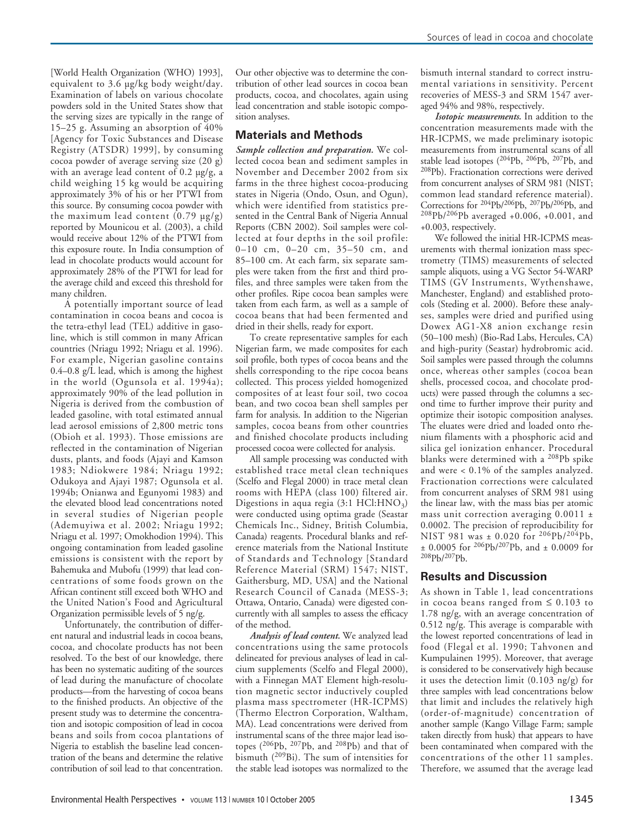[World Health Organization (WHO) 1993], equivalent to 3.6 µg/kg body weight/day. Examination of labels on various chocolate powders sold in the United States show that the serving sizes are typically in the range of 15–25 g. Assuming an absorption of 40% [Agency for Toxic Substances and Disease Registry (ATSDR) 1999], by consuming cocoa powder of average serving size (20 g) with an average lead content of  $0.2 \mu g/g$ , a child weighing 15 kg would be acquiring approximately 3% of his or her PTWI from this source. By consuming cocoa powder with the maximum lead content  $(0.79 \text{ µg/g})$ reported by Mounicou et al. (2003), a child would receive about 12% of the PTWI from this exposure route. In India consumption of lead in chocolate products would account for approximately 28% of the PTWI for lead for the average child and exceed this threshold for many children.

A potentially important source of lead contamination in cocoa beans and cocoa is the tetra-ethyl lead (TEL) additive in gasoline, which is still common in many African countries (Nriagu 1992; Nriagu et al. 1996). For example, Nigerian gasoline contains  $0.4-0.8$  g/ $\overline{L}$  lead, which is among the highest in the world (Ogunsola et al. 1994a); approximately 90% of the lead pollution in Nigeria is derived from the combustion of leaded gasoline, with total estimated annual lead aerosol emissions of 2,800 metric tons (Obioh et al. 1993). Those emissions are reflected in the contamination of Nigerian dusts, plants, and foods (Ajayi and Kamson 1983; Ndiokwere 1984; Nriagu 1992; Odukoya and Ajayi 1987; Ogunsola et al. 1994b; Onianwa and Egunyomi 1983) and the elevated blood lead concentrations noted in several studies of Nigerian people (Ademuyiwa et al. 2002; Nriagu 1992; Nriagu et al. 1997; Omokhodion 1994). This ongoing contamination from leaded gasoline emissions is consistent with the report by Bahemuka and Mubofu (1999) that lead concentrations of some foods grown on the African continent still exceed both WHO and the United Nation's Food and Agricultural Organization permissible levels of 5 ng/g.

Unfortunately, the contribution of different natural and industrial leads in cocoa beans, cocoa, and chocolate products has not been resolved. To the best of our knowledge, there has been no systematic auditing of the sources of lead during the manufacture of chocolate products—from the harvesting of cocoa beans to the finished products. An objective of the present study was to determine the concentration and isotopic composition of lead in cocoa beans and soils from cocoa plantations of Nigeria to establish the baseline lead concentration of the beans and determine the relative contribution of soil lead to that concentration.

Our other objective was to determine the contribution of other lead sources in cocoa bean products, cocoa, and chocolates, again using lead concentration and stable isotopic composition analyses.

## **Materials and Methods**

*Sample collection and preparation.* We collected cocoa bean and sediment samples in November and December 2002 from six farms in the three highest cocoa-producing states in Nigeria (Ondo, Osun, and Ogun), which were identified from statistics presented in the Central Bank of Nigeria Annual Reports (CBN 2002). Soil samples were collected at four depths in the soil profile: 0–10 cm, 0–20 cm, 35–50 cm, and 85–100 cm. At each farm, six separate samples were taken from the first and third profiles, and three samples were taken from the other profiles. Ripe cocoa bean samples were taken from each farm, as well as a sample of cocoa beans that had been fermented and dried in their shells, ready for export.

To create representative samples for each Nigerian farm, we made composites for each soil profile, both types of cocoa beans and the shells corresponding to the ripe cocoa beans collected. This process yielded homogenized composites of at least four soil, two cocoa bean, and two cocoa bean shell samples per farm for analysis. In addition to the Nigerian samples, cocoa beans from other countries and finished chocolate products including processed cocoa were collected for analysis.

All sample processing was conducted with established trace metal clean techniques (Scelfo and Flegal 2000) in trace metal clean rooms with HEPA (class 100) filtered air. Digestions in aqua regia (3:1 HCl: $HNO<sub>3</sub>$ ) were conducted using optima grade (Seastar Chemicals Inc., Sidney, British Columbia, Canada) reagents. Procedural blanks and reference materials from the National Institute of Standards and Technology [Standard Reference Material (SRM) 1547; NIST, Gaithersburg, MD, USA] and the National Research Council of Canada (MESS-3; Ottawa, Ontario, Canada) were digested concurrently with all samples to assess the efficacy of the method.

*Analysis of lead content.* We analyzed lead concentrations using the same protocols delineated for previous analyses of lead in calcium supplements (Scelfo and Flegal 2000), with a Finnegan MAT Element high-resolution magnetic sector inductively coupled plasma mass spectrometer (HR-ICPMS) (Thermo Electron Corporation, Waltham, MA). Lead concentrations were derived from instrumental scans of the three major lead isotopes (206Pb, 207Pb, and 208Pb) and that of bismuth (209Bi). The sum of intensities for the stable lead isotopes was normalized to the

bismuth internal standard to correct instrumental variations in sensitivity. Percent recoveries of MESS-3 and SRM 1547 averaged 94% and 98%, respectively.

*Isotopic measurements.* In addition to the concentration measurements made with the HR-ICPMS, we made preliminary isotopic measurements from instrumental scans of all stable lead isotopes (204Pb, 206Pb, 207Pb, and 208Pb). Fractionation corrections were derived from concurrent analyses of SRM 981 (NIST; common lead standard reference material). Corrections for 204Pb/206Pb, 207Pb/206Pb, and 208Pb/206Pb averaged +0.006, +0.001, and +0.003, respectively.

We followed the initial HR-ICPMS measurements with thermal ionization mass spectrometry (TIMS) measurements of selected sample aliquots, using a VG Sector 54-WARP TIMS (GV Instruments, Wythenshawe, Manchester, England) and established protocols (Steding et al. 2000). Before these analyses, samples were dried and purified using Dowex AG1-X8 anion exchange resin (50–100 mesh) (Bio-Rad Labs, Hercules, CA) and high-purity (Seastar) hydrobromic acid. Soil samples were passed through the columns once, whereas other samples (cocoa bean shells, processed cocoa, and chocolate products) were passed through the columns a second time to further improve their purity and optimize their isotopic composition analyses. The eluates were dried and loaded onto rhenium filaments with a phosphoric acid and silica gel ionization enhancer. Procedural blanks were determined with a 208Pb spike and were < 0.1% of the samples analyzed. Fractionation corrections were calculated from concurrent analyses of SRM 981 using the linear law, with the mass bias per atomic mass unit correction averaging  $0.0011 \pm$ 0.0002. The precision of reproducibility for NIST 981 was ± 0.020 for <sup>206</sup>Pb/<sup>204</sup>Pb, ± 0.0005 for 206Pb/207Pb, and ± 0.0009 for 208Pb/207Pb.

### **Results and Discussion**

As shown in Table 1, lead concentrations in cocoa beans ranged from  $\leq 0.103$  to 1.78 ng/g, with an average concentration of 0.512 ng/g. This average is comparable with the lowest reported concentrations of lead in food (Flegal et al. 1990; Tahvonen and Kumpulainen 1995). Moreover, that average is considered to be conservatively high because it uses the detection limit (0.103 ng/g) for three samples with lead concentrations below that limit and includes the relatively high (order-of-magnitude) concentration of another sample (Kango Village Farm; sample taken directly from husk) that appears to have been contaminated when compared with the concentrations of the other 11 samples. Therefore, we assumed that the average lead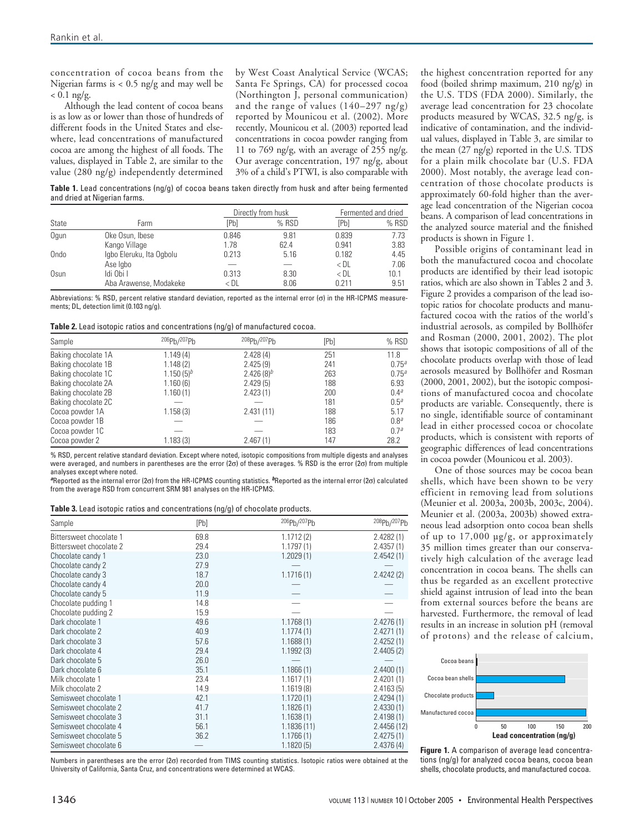concentration of cocoa beans from the Nigerian farms is < 0.5 ng/g and may well be  $< 0.1$  ng/g.

Although the lead content of cocoa beans is as low as or lower than those of hundreds of different foods in the United States and elsewhere, lead concentrations of manufactured cocoa are among the highest of all foods. The values, displayed in Table 2, are similar to the value (280 ng/g) independently determined

by West Coast Analytical Service (WCAS; Santa Fe Springs, CA) for processed cocoa (Northington J, personal communication) and the range of values  $(140-297 \text{ ng/g})$ reported by Mounicou et al. (2002). More recently, Mounicou et al. (2003) reported lead concentrations in cocoa powder ranging from 11 to 769 ng/g, with an average of 255 ng/g. Our average concentration, 197 ng/g, about 3% of a child's PTWI, is also comparable with

**Table 1.** Lead concentrations (ng/g) of cocoa beans taken directly from husk and after being fermented and dried at Nigerian farms.

|       |                          |       | Directly from husk |        | Fermented and dried |  |  |
|-------|--------------------------|-------|--------------------|--------|---------------------|--|--|
| State | Farm                     | [Pb]  | % RSD              | [Pb]   | % RSD               |  |  |
| Oqun  | Oke Osun, Ibese          | 0.846 | 9.81               | 0.839  | 7.73                |  |  |
|       | Kango Village            | 1.78  | 62.4               | 0.941  | 3.83                |  |  |
| Ondo  | Igbo Eleruku, Ita Ogbolu | 0.213 | 5.16               | 0.182  | 4.45                |  |  |
|       | Ase Igbo                 |       |                    | $<$ DL | 7.06                |  |  |
| Osun  | Idi Obi I                | 0.313 | 8.30               | $<$ DL | 10.1                |  |  |
|       | Aba Arawense, Modakeke   | < DL  | 8.06               | 0.211  | 9.51                |  |  |

Abbreviations: % RSD, percent relative standard deviation, reported as the internal error (σ) in the HR-ICPMS measurements; DL, detection limit (0.103 ng/g).

**Table 2.** Lead isotopic ratios and concentrations (ng/g) of manufactured cocoa.

| Sample              | 206Pb/207Pb    | 208Pb/207Pb   | [Pb] | % RSD            |
|---------------------|----------------|---------------|------|------------------|
| Baking chocolate 1A | 1.149(4)       | 2.428(4)      | 251  | 11.8             |
| Baking chocolate 1B | 1.148(2)       | 2.425(9)      | 241  | $0.75^{a}$       |
| Baking chocolate 1C | $1.150(5)^{b}$ | 2.426 $(8)^b$ | 263  | $0.75^{a}$       |
| Baking chocolate 2A | 1.160(6)       | 2.429(5)      | 188  | 6.93             |
| Baking chocolate 2B | 1.160(1)       | 2.423(1)      | 200  | 0.4 <sup>a</sup> |
| Baking chocolate 2C |                |               | 181  | 0.5 <sup>a</sup> |
| Cocoa powder 1A     | 1.158(3)       | 2.431(11)     | 188  | 5.17             |
| Cocoa powder 1B     |                |               | 186  | 0.8 <sup>a</sup> |
| Cocoa powder 1C     |                |               | 183  | 0.7 <sup>a</sup> |
| Cocoa powder 2      | 1.183(3)       | 2.467(1)      | 147  | 28.2             |

% RSD, percent relative standard deviation. Except where noted, isotopic compositions from multiple digests and analyses were averaged, and numbers in parentheses are the error (2σ) of these averages. % RSD is the error (2σ) from multiple analyses except where noted.

**<sup>a</sup>**Reported as the internal error (2σ) from the HR-ICPMS counting statistics. **<sup>b</sup>**Reported as the internal error (2σ) calculated from the average RSD from concurrent SRM 981 analyses on the HR-ICPMS.

**Table 3.** Lead isotopic ratios and concentrations (ng/g) of chocolate products.

| Sample                  | [Pb] | 206Ph/207Ph | 208Pb/207Pb |
|-------------------------|------|-------------|-------------|
| Bittersweet chocolate 1 | 69.8 | 1.1712(2)   | 2.4282(1)   |
| Bittersweet chocolate 2 | 29.4 | 1.1797(1)   | 2.4357(1)   |
| Chocolate candy 1       | 23.0 | 1.2029(1)   | 2.4542(1)   |
| Chocolate candy 2       | 27.9 |             |             |
| Chocolate candy 3       | 18.7 | 1.1716(1)   | 2.4242(2)   |
| Chocolate candy 4       | 20.0 |             |             |
| Chocolate candy 5       | 11.9 |             |             |
| Chocolate pudding 1     | 14.8 |             |             |
| Chocolate pudding 2     | 15.9 |             |             |
| Dark chocolate 1        | 49.6 | 1.1768(1)   | 2.4276(1)   |
| Dark chocolate 2        | 40.9 | 1.1774(1)   | 2.4271(1)   |
| Dark chocolate 3        | 57.6 | 1.1688(1)   | 2.4252(1)   |
| Dark chocolate 4        | 29.4 | 1.1992(3)   | 2.4405(2)   |
| Dark chocolate 5        | 26.0 |             |             |
| Dark chocolate 6        | 35.1 | 1.1866(1)   | 2.4400(1)   |
| Milk chocolate 1        | 23.4 | 1.1617(1)   | 2.4201(1)   |
| Milk chocolate 2        | 14.9 | 1.1619(8)   | 2.4163(5)   |
| Semisweet chocolate 1   | 42.1 | 1.1720(1)   | 2.4294(1)   |
| Semisweet chocolate 2   | 41.7 | 1.1826(1)   | 2.4330(1)   |
| Semisweet chocolate 3   | 31.1 | 1.1638(1)   | 2.4198(1)   |
| Semisweet chocolate 4   | 56.1 | 1.1836(11)  | 2.4456(12)  |
| Semisweet chocolate 5   | 36.2 | 1.1766(1)   | 2.4275(1)   |
| Semisweet chocolate 6   |      | 1.1820(5)   | 2.4376(4)   |

Numbers in parentheses are the error (2σ) recorded from TIMS counting statistics. Isotopic ratios were obtained at the University of California, Santa Cruz, and concentrations were determined at WCAS.

the highest concentration reported for any food (boiled shrimp maximum, 210 ng/g) in the U.S. TDS (FDA 2000). Similarly, the average lead concentration for 23 chocolate products measured by WCAS, 32.5 ng/g, is indicative of contamination, and the individual values, displayed in Table 3, are similar to the mean (27 ng/g) reported in the U.S. TDS for a plain milk chocolate bar (U.S. FDA 2000). Most notably, the average lead concentration of those chocolate products is approximately 60-fold higher than the average lead concentration of the Nigerian cocoa beans. A comparison of lead concentrations in the analyzed source material and the finished products is shown in Figure 1.

Possible origins of contaminant lead in both the manufactured cocoa and chocolate products are identified by their lead isotopic ratios, which are also shown in Tables 2 and 3. Figure 2 provides a comparison of the lead isotopic ratios for chocolate products and manufactured cocoa with the ratios of the world's industrial aerosols, as compiled by Bollhöfer and Rosman (2000, 2001, 2002). The plot shows that isotopic compositions of all of the chocolate products overlap with those of lead aerosols measured by Bollhöfer and Rosman (2000, 2001, 2002), but the isotopic compositions of manufactured cocoa and chocolate products are variable. Consequently, there is no single, identifiable source of contaminant lead in either processed cocoa or chocolate products, which is consistent with reports of geographic differences of lead concentrations in cocoa powder (Mounicou et al. 2003).

One of those sources may be cocoa bean shells, which have been shown to be very efficient in removing lead from solutions (Meunier et al. 2003a, 2003b, 2003c, 2004). Meunier et al. (2003a, 2003b) showed extraneous lead adsorption onto cocoa bean shells of up to 17,000 µg/g, or approximately 35 million times greater than our conservatively high calculation of the average lead concentration in cocoa beans. The shells can thus be regarded as an excellent protective shield against intrusion of lead into the bean from external sources before the beans are harvested. Furthermore, the removal of lead results in an increase in solution pH (removal of protons) and the release of calcium,



**Figure 1.** A comparison of average lead concentrations (ng/g) for analyzed cocoa beans, cocoa bean shells, chocolate products, and manufactured cocoa.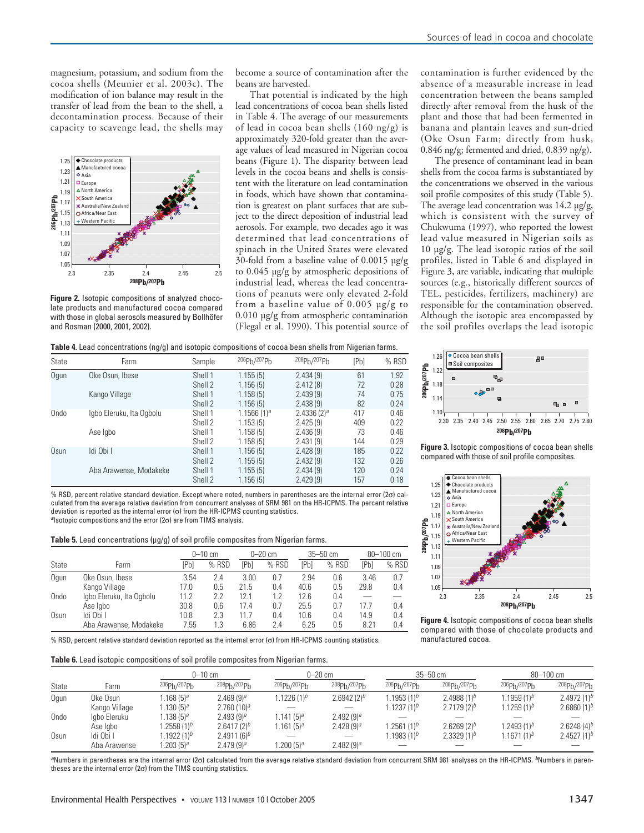magnesium, potassium, and sodium from the cocoa shells (Meunier et al. 2003c). The modification of ion balance may result in the transfer of lead from the bean to the shell, a decontamination process. Because of their capacity to scavenge lead, the shells may



**Figure 2.** Isotopic compositions of analyzed chocolate products and manufactured cocoa compared with those in global aerosols measured by Bollhöfer and Rosman (2000, 2001, 2002).

become a source of contamination after the beans are harvested.

That potential is indicated by the high lead concentrations of cocoa bean shells listed in Table 4. The average of our measurements of lead in cocoa bean shells (160 ng/g) is approximately 320-fold greater than the average values of lead measured in Nigerian cocoa beans (Figure 1). The disparity between lead levels in the cocoa beans and shells is consistent with the literature on lead contamination in foods, which have shown that contamination is greatest on plant surfaces that are subject to the direct deposition of industrial lead aerosols. For example, two decades ago it was determined that lead concentrations of spinach in the United States were elevated 30-fold from a baseline value of 0.0015 µg/g to 0.045 µg/g by atmospheric depositions of industrial lead, whereas the lead concentrations of peanuts were only elevated 2-fold from a baseline value of 0.005 µg/g to 0.010 µg/g from atmospheric contamination (Flegal et al. 1990). This potential source of

**Table 4.** Lead concentrations (ng/g) and isotopic compositions of cocoa bean shells from Nigerian farms.

| State | Farm                     | Sample  | 206Ph/207Ph     | 208ph/207ph     | [Pb] | % RSD |
|-------|--------------------------|---------|-----------------|-----------------|------|-------|
| Ogun  | Oke Osun, Ibese          | Shell 1 | 1.155(5)        | 2.434(9)        | 61   | 1.92  |
|       |                          | Shell 2 | 1.156(5)        | 2.412(8)        | 72   | 0.28  |
|       | Kango Village            | Shell 1 | 1.158(5)        | 2.439(9)        | 74   | 0.75  |
|       |                          | Shell 2 | 1.156(5)        | 2.438(9)        | 82   | 0.24  |
| Ondo  | lgbo Eleruku, Ita Ogbolu | Shell 1 | $1.1566(1)^{a}$ | $2.4336(2)^{a}$ | 417  | 0.46  |
|       |                          | Shell 2 | 1.153(5)        | 2.425(9)        | 409  | 0.22  |
|       | Ase Igbo                 | Shell 1 | 1.158(5)        | 2.436(9)        | 73   | 0.46  |
|       |                          | Shell 2 | 1.158(5)        | 2.431(9)        | 144  | 0.29  |
| Osun  | Idi Obi I                | Shell 1 | 1.156(5)        | 2.428(9)        | 185  | 0.22  |
|       |                          | Shell 2 | 1.155(5)        | 2.432(9)        | 132  | 0.26  |
|       | Aba Arawense, Modakeke   | Shell 1 | 1.155(5)        | 2.434(9)        | 120  | 0.24  |
|       |                          | Shell 2 | 1.156(5)        | 2.429(9)        | 157  | 0.18  |

% RSD, percent relative standard deviation. Except where noted, numbers in parentheses are the internal error  $(2\sigma)$  calculated from the average relative deviation from concurrent analyses of SRM 981 on the HR-ICPMS. The percent relative deviation is reported as the internal error (σ) from the HR-ICPMS counting statistics. **<sup>a</sup>**Isotopic compositions and the error (2σ) are from TIMS analysis.

Table 5. Lead concentrations (µg/g) of soil profile composites from Nigerian farms.

|               |                          | $0 - 10$ cm |       |      | $0 - 20$ cm |      | $35 - 50$ cm |      | $80 - 100$ cm |  |
|---------------|--------------------------|-------------|-------|------|-------------|------|--------------|------|---------------|--|
| State<br>Farm |                          | [Pb         | % RSD | [Pb] | % RSD       | [Pb] | % RSD        | [Pb] | % RSD         |  |
| Oqun          | Oke Osun, Ibese          | 3.54        | 2.4   | 3.00 | 0.7         | 2.94 | 0.6          | 3.46 | 0.7           |  |
|               | Kango Village            | 17.0        | 0.5   | 21.5 | 0.4         | 40.6 | 0.5          | 29.8 | 0.4           |  |
| Ondo          | Igbo Eleruku, Ita Ogbolu | 11.2        | 2.2   | 12.1 | 1.2         | 12.6 | 0.4          |      |               |  |
|               | Ase Igbo                 | 30.8        | 0.6   | 17.4 | 0.7         | 25.5 | 0.7          | 17.7 | 0.4           |  |
| Osun          | Idi Obi I                | 10.8        | 2.3   | 11.7 | 0.4         | 10.6 | 0.4          | 14.9 | 0.4           |  |
|               | Aba Arawense, Modakeke   | 7.55        | 1.3   | 6.86 | 2.4         | 6.25 | 0.5          | 8.21 | 0.4           |  |

% RSD, percent relative standard deviation reported as the internal error (σ) from HR-ICPMS counting statistics.

#### **Table 6.** Lead isotopic compositions of soil profile composites from Nigerian farms.

contamination is further evidenced by the absence of a measurable increase in lead concentration between the beans sampled directly after removal from the husk of the plant and those that had been fermented in banana and plantain leaves and sun-dried (Oke Osun Farm; directly from husk, 0.846 ng/g; fermented and dried, 0.839 ng/g).

The presence of contaminant lead in bean shells from the cocoa farms is substantiated by the concentrations we observed in the various soil profile composites of this study (Table 5). The average lead concentration was  $14.2 \text{ µg/g}$ , which is consistent with the survey of Chukwuma (1997), who reported the lowest lead value measured in Nigerian soils as 10 µg/g. The lead isotopic ratios of the soil profiles, listed in Table 6 and displayed in Figure 3, are variable, indicating that multiple sources (e.g., historically different sources of TEL, pesticides, fertilizers, machinery) are responsible for the contamination observed. Although the isotopic area encompassed by the soil profiles overlaps the lead isotopic



**Figure 3.** Isotopic compositions of cocoa bean shells compared with those of soil profile composites.



**Figure 4.** Isotopic compositions of cocoa bean shells compared with those of chocolate products and manufactured cocoa.

|       |               | $0 - 10$ cm           |                                      | $0 - 20$ cm             |                | $35 - 50$ cm            |                | $80 - 100$ cm           |                  |
|-------|---------------|-----------------------|--------------------------------------|-------------------------|----------------|-------------------------|----------------|-------------------------|------------------|
| State | Farm          | 206Ph/207Ph           | 208 <sub>Ph</sub> /207 <sub>Ph</sub> | 206Ph/207Ph             | 208Pb/207Pb    | 206Pb/207Pb             | 208Pb/207Pb    | 206Ph/207Ph             | 208Pb/207Pb      |
| Oqun  | Oke Osun      | .168 (5) <sup>a</sup> | $2.469(9)^{a}$                       | 1.1226 (1) <sup>b</sup> | 2.6942 $(2)^b$ | 1.1953 (1) <sup>b</sup> | 2.4988 $(1)^b$ | 1.1959 (1) <sup>b</sup> | 2.4972 $(1)^b$   |
|       | Kango Village | $.130(5)^{a}$         | 2.760(10) <sup>a</sup>               |                         |                | 1.1237 (1) <sup>b</sup> | $2.7179(2)^b$  | $1.1259(1)^{b}$         | 2.6860 $(1)^b$   |
| Ondo  | Igbo Eleruku  | $.138(5)^{a}$         | $2.493(9)^{a}$                       | $1.141(5)^{a}$          | $2.492(9)^{a}$ |                         |                |                         |                  |
|       | Ase Igbo      | $.2558(1)^b$          | $2.6417(2)^b$                        | 1.161 (5) <sup>a</sup>  | 2.428 $(9)^a$  | 1.2561 (1) <sup>b</sup> | $2.6269(2)^b$  | $1.2493(1)^b$           | 2.6248 $(4)^{b}$ |
| Osun  | Idi Obi I     | $1922(1)^b$           | $2.4911(6)^{b}$                      |                         |                | 1.1983 (1) <sup>b</sup> | $2.3329(1)^b$  | 1.1671 (1) <sup>b</sup> | 2.4527 $(1)^b$   |
|       | Aba Arawense  | $.203(5)^{a}$         | $2.479(9)^{a}$                       | .200(5) <sup>a</sup>    | 2.482 $(9)^a$  |                         |                |                         |                  |

**a**Numbers in parentheses are the internal error (2σ) calculated from the average relative standard deviation from concurrent SRM 981 analyses on the HR-ICPMS. **<sup>b</sup>**Numbers in parentheses are the internal error ( $2\sigma$ ) from the TIMS counting statistics.